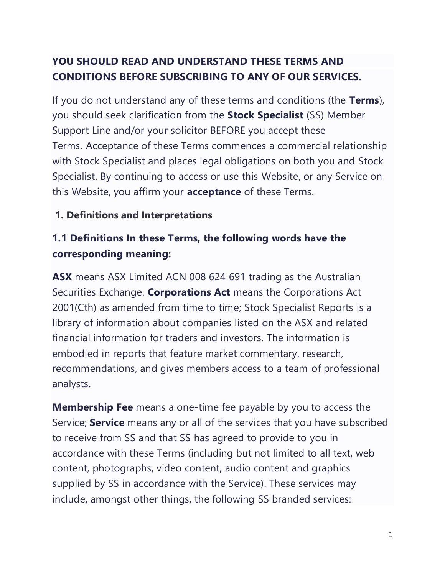# **YOU SHOULD READ AND UNDERSTAND THESE TERMS AND CONDITIONS BEFORE SUBSCRIBING TO ANY OF OUR SERVICES.**

If you do not understand any of these terms and conditions (the **Terms**), you should seek clarification from the **Stock Specialist** (SS) Member Support Line and/or your solicitor BEFORE you accept these Terms**.** Acceptance of these Terms commences a commercial relationship with Stock Specialist and places legal obligations on both you and Stock Specialist. By continuing to access or use this Website, or any Service on this Website, you affirm your **acceptance** of these Terms.

### **1. Definitions and Interpretations**

# **1.1 Definitions In these Terms, the following words have the corresponding meaning:**

**ASX** means ASX Limited ACN 008 624 691 trading as the Australian Securities Exchange. **Corporations Act** means the Corporations Act 2001(Cth) as amended from time to time; Stock Specialist Reports is a library of information about companies listed on the ASX and related financial information for traders and investors. The information is embodied in reports that feature market commentary, research, recommendations, and gives members access to a team of professional analysts.

**Membership Fee** means a one-time fee payable by you to access the Service; **Service** means any or all of the services that you have subscribed to receive from SS and that SS has agreed to provide to you in accordance with these Terms (including but not limited to all text, web content, photographs, video content, audio content and graphics supplied by SS in accordance with the Service). These services may include, amongst other things, the following SS branded services: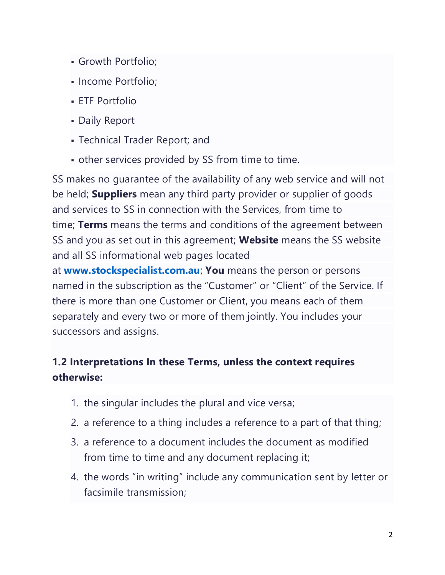- Growth Portfolio;
- Income Portfolio;
- **ETF Portfolio**
- **Daily Report**
- Technical Trader Report; and
- other services provided by SS from time to time.

SS makes no guarantee of the availability of any web service and will not be held; **Suppliers** mean any third party provider or supplier of goods and services to SS in connection with the Services, from time to time; **Terms** means the terms and conditions of the agreement between SS and you as set out in this agreement; **Website** means the SS website and all SS informational web pages located

at **[www.stockspecialist.com.au](http://www.stockspecialist.com.au/)**; **You** means the person or persons named in the subscription as the "Customer" or "Client" of the Service. If there is more than one Customer or Client, you means each of them separately and every two or more of them jointly. You includes your successors and assigns.

# **1.2 Interpretations In these Terms, unless the context requires otherwise:**

- 1. the singular includes the plural and vice versa;
- 2. a reference to a thing includes a reference to a part of that thing;
- 3. a reference to a document includes the document as modified from time to time and any document replacing it;
- 4. the words "in writing" include any communication sent by letter or facsimile transmission;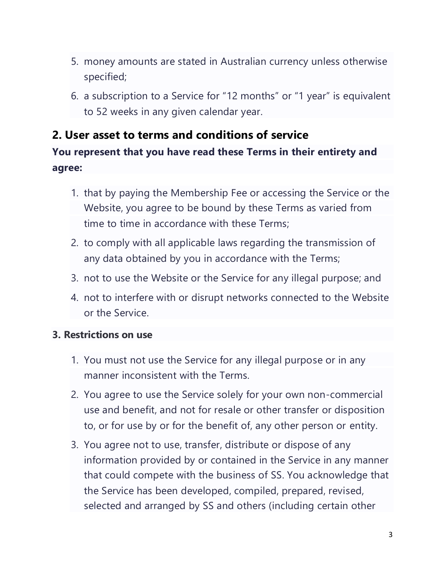- 5. money amounts are stated in Australian currency unless otherwise specified;
- 6. a subscription to a Service for "12 months" or "1 year" is equivalent to 52 weeks in any given calendar year.

# **2. User asset to terms and conditions of service**

# **You represent that you have read these Terms in their entirety and agree:**

- 1. that by paying the Membership Fee or accessing the Service or the Website, you agree to be bound by these Terms as varied from time to time in accordance with these Terms;
- 2. to comply with all applicable laws regarding the transmission of any data obtained by you in accordance with the Terms;
- 3. not to use the Website or the Service for any illegal purpose; and
- 4. not to interfere with or disrupt networks connected to the Website or the Service.

### **3. Restrictions on use**

- 1. You must not use the Service for any illegal purpose or in any manner inconsistent with the Terms.
- 2. You agree to use the Service solely for your own non-commercial use and benefit, and not for resale or other transfer or disposition to, or for use by or for the benefit of, any other person or entity.
- 3. You agree not to use, transfer, distribute or dispose of any information provided by or contained in the Service in any manner that could compete with the business of SS. You acknowledge that the Service has been developed, compiled, prepared, revised, selected and arranged by SS and others (including certain other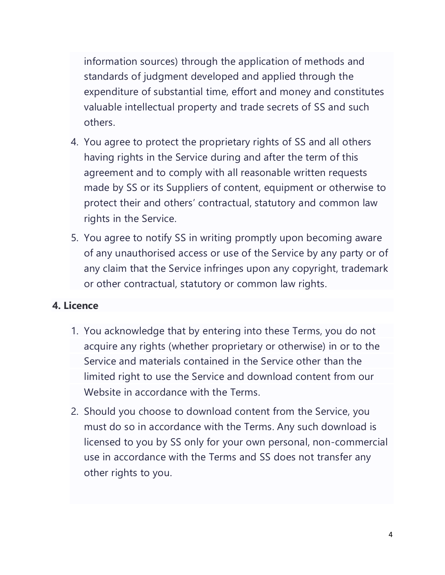information sources) through the application of methods and standards of judgment developed and applied through the expenditure of substantial time, effort and money and constitutes valuable intellectual property and trade secrets of SS and such others.

- 4. You agree to protect the proprietary rights of SS and all others having rights in the Service during and after the term of this agreement and to comply with all reasonable written requests made by SS or its Suppliers of content, equipment or otherwise to protect their and others' contractual, statutory and common law rights in the Service.
- 5. You agree to notify SS in writing promptly upon becoming aware of any unauthorised access or use of the Service by any party or of any claim that the Service infringes upon any copyright, trademark or other contractual, statutory or common law rights.

#### **4. Licence**

- 1. You acknowledge that by entering into these Terms, you do not acquire any rights (whether proprietary or otherwise) in or to the Service and materials contained in the Service other than the limited right to use the Service and download content from our Website in accordance with the Terms.
- 2. Should you choose to download content from the Service, you must do so in accordance with the Terms. Any such download is licensed to you by SS only for your own personal, non-commercial use in accordance with the Terms and SS does not transfer any other rights to you.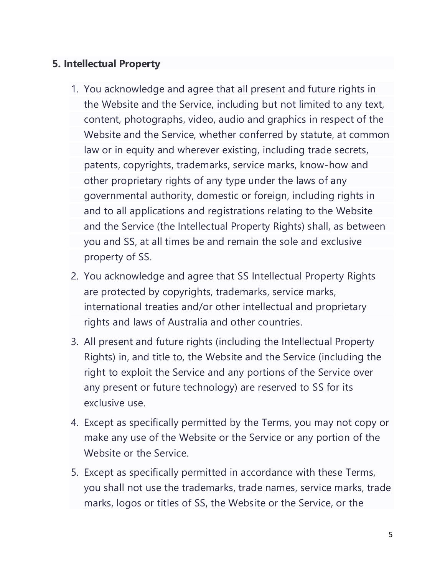### **5. Intellectual Property**

- 1. You acknowledge and agree that all present and future rights in the Website and the Service, including but not limited to any text, content, photographs, video, audio and graphics in respect of the Website and the Service, whether conferred by statute, at common law or in equity and wherever existing, including trade secrets, patents, copyrights, trademarks, service marks, know-how and other proprietary rights of any type under the laws of any governmental authority, domestic or foreign, including rights in and to all applications and registrations relating to the Website and the Service (the Intellectual Property Rights) shall, as between you and SS, at all times be and remain the sole and exclusive property of SS.
- 2. You acknowledge and agree that SS Intellectual Property Rights are protected by copyrights, trademarks, service marks, international treaties and/or other intellectual and proprietary rights and laws of Australia and other countries.
- 3. All present and future rights (including the Intellectual Property Rights) in, and title to, the Website and the Service (including the right to exploit the Service and any portions of the Service over any present or future technology) are reserved to SS for its exclusive use.
- 4. Except as specifically permitted by the Terms, you may not copy or make any use of the Website or the Service or any portion of the Website or the Service.
- 5. Except as specifically permitted in accordance with these Terms, you shall not use the trademarks, trade names, service marks, trade marks, logos or titles of SS, the Website or the Service, or the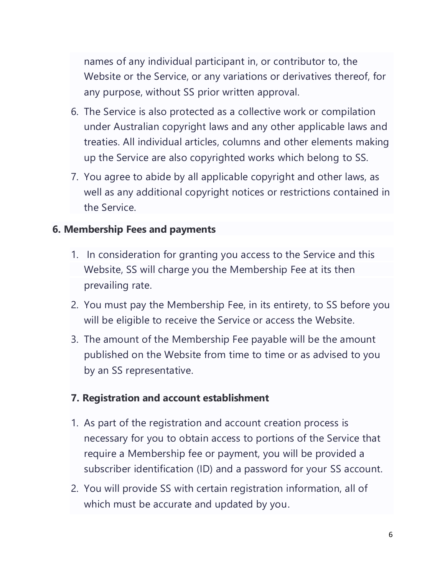names of any individual participant in, or contributor to, the Website or the Service, or any variations or derivatives thereof, for any purpose, without SS prior written approval.

- 6. The Service is also protected as a collective work or compilation under Australian copyright laws and any other applicable laws and treaties. All individual articles, columns and other elements making up the Service are also copyrighted works which belong to SS.
- 7. You agree to abide by all applicable copyright and other laws, as well as any additional copyright notices or restrictions contained in the Service.

### **6. Membership Fees and payments**

- 1. In consideration for granting you access to the Service and this Website, SS will charge you the Membership Fee at its then prevailing rate.
- 2. You must pay the Membership Fee, in its entirety, to SS before you will be eligible to receive the Service or access the Website.
- 3. The amount of the Membership Fee payable will be the amount published on the Website from time to time or as advised to you by an SS representative.

### **7. Registration and account establishment**

- 1. As part of the registration and account creation process is necessary for you to obtain access to portions of the Service that require a Membership fee or payment, you will be provided a subscriber identification (ID) and a password for your SS account.
- 2. You will provide SS with certain registration information, all of which must be accurate and updated by you.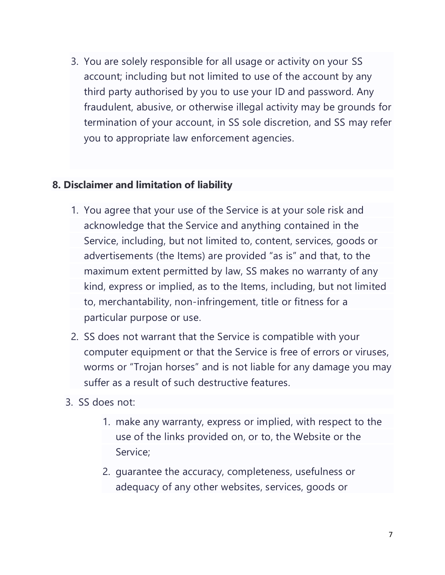3. You are solely responsible for all usage or activity on your SS account; including but not limited to use of the account by any third party authorised by you to use your ID and password. Any fraudulent, abusive, or otherwise illegal activity may be grounds for termination of your account, in SS sole discretion, and SS may refer you to appropriate law enforcement agencies.

#### **8. Disclaimer and limitation of liability**

- 1. You agree that your use of the Service is at your sole risk and acknowledge that the Service and anything contained in the Service, including, but not limited to, content, services, goods or advertisements (the Items) are provided "as is" and that, to the maximum extent permitted by law, SS makes no warranty of any kind, express or implied, as to the Items, including, but not limited to, merchantability, non-infringement, title or fitness for a particular purpose or use.
- 2. SS does not warrant that the Service is compatible with your computer equipment or that the Service is free of errors or viruses, worms or "Trojan horses" and is not liable for any damage you may suffer as a result of such destructive features.
- 3. SS does not:
	- 1. make any warranty, express or implied, with respect to the use of the links provided on, or to, the Website or the Service;
	- 2. guarantee the accuracy, completeness, usefulness or adequacy of any other websites, services, goods or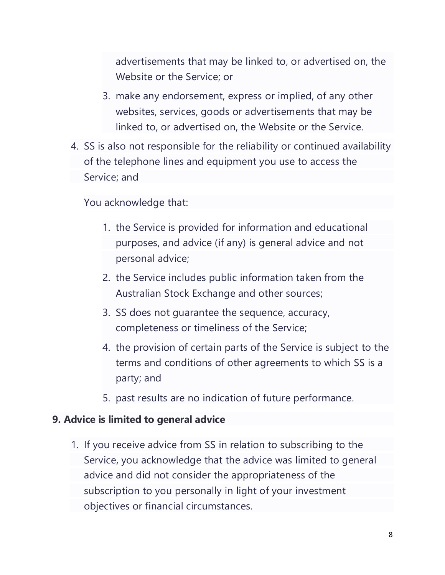advertisements that may be linked to, or advertised on, the Website or the Service; or

- 3. make any endorsement, express or implied, of any other websites, services, goods or advertisements that may be linked to, or advertised on, the Website or the Service.
- 4. SS is also not responsible for the reliability or continued availability of the telephone lines and equipment you use to access the Service; and

You acknowledge that:

- 1. the Service is provided for information and educational purposes, and advice (if any) is general advice and not personal advice;
- 2. the Service includes public information taken from the Australian Stock Exchange and other sources;
- 3. SS does not guarantee the sequence, accuracy, completeness or timeliness of the Service;
- 4. the provision of certain parts of the Service is subject to the terms and conditions of other agreements to which SS is a party; and
- 5. past results are no indication of future performance.

#### **9. Advice is limited to general advice**

1. If you receive advice from SS in relation to subscribing to the Service, you acknowledge that the advice was limited to general advice and did not consider the appropriateness of the subscription to you personally in light of your investment objectives or financial circumstances.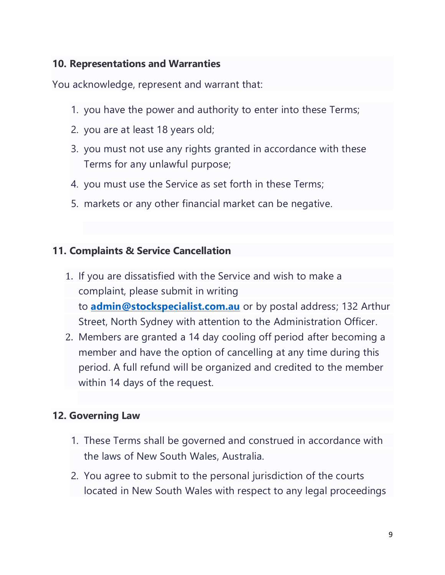### **10. Representations and Warranties**

You acknowledge, represent and warrant that:

- 1. you have the power and authority to enter into these Terms;
- 2. you are at least 18 years old;
- 3. you must not use any rights granted in accordance with these Terms for any unlawful purpose;
- 4. you must use the Service as set forth in these Terms;
- 5. markets or any other financial market can be negative.

## **11. Complaints & Service Cancellation**

- 1. If you are dissatisfied with the Service and wish to make a complaint, please submit in writing to **[admin@stockspecialist.com.au](mailto:admin@stockspecialist.com.au)** or by postal address; 132 Arthur Street, North Sydney with attention to the Administration Officer.
- 2. Members are granted a 14 day cooling off period after becoming a member and have the option of cancelling at any time during this period. A full refund will be organized and credited to the member within 14 days of the request.

## **12. Governing Law**

- 1. These Terms shall be governed and construed in accordance with the laws of New South Wales, Australia.
- 2. You agree to submit to the personal jurisdiction of the courts located in New South Wales with respect to any legal proceedings